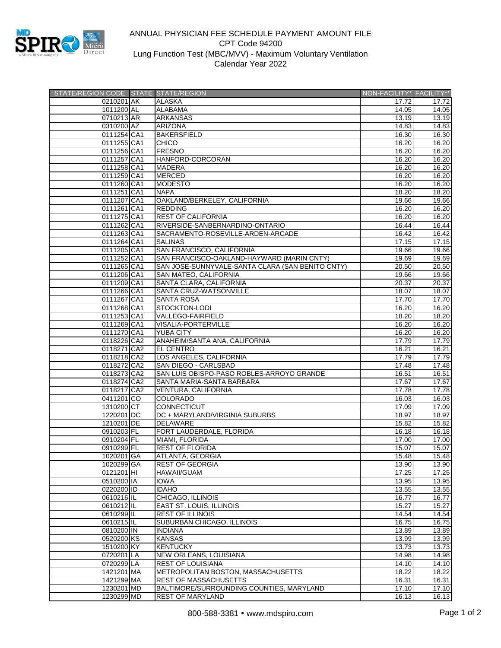

## ANNUAL PHYSICIAN FEE SCHEDULE PAYMENT AMOUNT FILE CPT Code 94200 Lung Function Test (MBC/MVV) - Maximum Voluntary Ventilation Calendar Year 2022

| STATE/REGION CODE STATE STATE/REGION |                                                  | NON-FACILITY* FACILITY** |       |
|--------------------------------------|--------------------------------------------------|--------------------------|-------|
| 0210201 AK                           | <b>ALASKA</b>                                    | 17.72                    | 17.72 |
| 1011200 AL                           | <b>ALABAMA</b>                                   | 14.05                    | 14.05 |
| 0710213 AR                           | <b>ARKANSAS</b>                                  | 13.19                    | 13.19 |
| 0310200 AZ                           | <b>ARIZONA</b>                                   | 14.83                    | 14.83 |
| 0111254 CA1                          | <b>BAKERSFIELD</b>                               | 16.30                    | 16.30 |
| 0111255 CA1                          | <b>CHICO</b>                                     | 16.20                    | 16.20 |
| 0111256 CA1                          | <b>FRESNO</b>                                    | 16.20                    | 16.20 |
| 0111257 CA1                          | HANFORD-CORCORAN                                 | 16.20                    | 16.20 |
| 0111258 CA1                          | <b>MADERA</b>                                    | 16.20                    | 16.20 |
| 0111259 CA1                          | <b>MERCED</b>                                    | 16.20                    | 16.20 |
| 0111260 CA1                          | <b>MODESTO</b>                                   | 16.20                    | 16.20 |
| 0111251 CA1                          | <b>NAPA</b>                                      | 18.20                    | 18.20 |
| 0111207 CA1                          | OAKLAND/BERKELEY, CALIFORNIA                     | 19.66                    | 19.66 |
| 0111261 CA1                          | <b>REDDING</b>                                   | 16.20                    | 16.20 |
| 0111275 CA1                          | <b>REST OF CALIFORNIA</b>                        | 16.20                    | 16.20 |
| 0111262 CA1                          | RIVERSIDE-SANBERNARDINO-ONTARIO                  | 16.44                    | 16.44 |
| 0111263 CA1                          | SACRAMENTO-ROSEVILLE-ARDEN-ARCADE                | 16.42                    | 16.42 |
| 0111264 CA1                          | <b>SALINAS</b>                                   | 17.15                    | 17.15 |
| 0111205 CA1                          | SAN FRANCISCO, CALIFORNIA                        | 19.66                    | 19.66 |
| 0111252 CA1                          | SAN FRANCISCO-OAKLAND-HAYWARD (MARIN CNTY)       | 19.69                    | 19.69 |
| 0111265 CA1                          | SAN JOSE-SUNNYVALE-SANTA CLARA (SAN BENITO CNTY) | 20.50                    | 20.50 |
| 0111206 CA1                          | SAN MATEO, CALIFORNIA                            | 19.66                    | 19.66 |
| 0111209 CA1                          | SANTA CLARA, CALIFORNIA                          | 20.37                    | 20.37 |
| 0111266 CA1                          | SANTA CRUZ-WATSONVILLE                           | 18.07                    | 18.07 |
| 0111267 CA1                          | <b>SANTA ROSA</b>                                | 17.70                    | 17.70 |
| 0111268 CA1                          | <b>STOCKTON-LODI</b>                             | 16.20                    | 16.20 |
| 0111253 CA1                          | <b>VALLEGO-FAIRFIELD</b>                         | 18.20                    | 18.20 |
| 0111269 CA1                          | <b>VISALIA-PORTERVILLE</b>                       | 16.20                    | 16.20 |
| 0111270 CA1                          | <b>YUBA CITY</b>                                 | 16.20                    | 16.20 |
| 0118226 CA2                          | ANAHEIM/SANTA ANA, CALIFORNIA                    | 17.79                    | 17.79 |
| 0118271 CA2                          | EL CENTRO                                        | 16.21                    | 16.21 |
| 0118218 CA2                          | LOS ANGELES, CALIFORNIA                          | 17.79                    | 17.79 |
| 0118272 CA2                          | SAN DIEGO - CARLSBAD                             | 17.48                    | 17.48 |
| 0118273 CA2                          | SAN LUIS OBISPO-PASO ROBLES-ARROYO GRANDE        | 16.51                    | 16.51 |
| 0118274 CA2                          | SANTA MARIA-SANTA BARBARA                        | 17.67                    | 17.67 |
| 0118217 CA2                          | <b>VENTURA, CALIFORNIA</b>                       | 17.78                    | 17.78 |
| 0411201 CO                           | COLORADO                                         | 16.03                    | 16.03 |
| 1310200 CT                           | <b>CONNECTICUT</b>                               | 17.09                    | 17.09 |
| 1220201 DC                           | DC + MARYLAND/VIRGINIA SUBURBS                   | 18.97                    | 18.97 |
| 1210201 DE                           | <b>DELAWARE</b>                                  | 15.82                    | 15.82 |
| 0910203 FL                           | FORT LAUDERDALE, FLORIDA                         | 16.18                    | 16.18 |
| 0910204 FL                           | MIAMI, FLORIDA                                   | 17.00                    | 17.00 |
| 0910299 FL                           | <b>REST OF FLORIDA</b>                           | 15.07                    | 15.07 |
| 1020201 GA                           | ATLANTA, GEORGIA                                 | 15.48                    | 15.48 |
| 1020299 GA                           | REST OF GEORGIA                                  | 13.90                    | 13.90 |
| 0121201 HI                           | <b>HAWAII/GUAM</b>                               | 17.25                    | 17.25 |
| 0510200 IA                           | <b>IOWA</b>                                      | 13.95                    | 13.95 |
| 0220200 ID                           | <b>IDAHO</b>                                     | 13.55                    | 13.55 |
| 0610216 IL                           | CHICAGO, ILLINOIS                                | 16.77                    | 16.77 |
| 0610212 IL                           | EAST ST. LOUIS, ILLINOIS                         | 15.27                    | 15.27 |
| 0610299 IL                           | <b>REST OF ILLINOIS</b>                          | 14.54                    | 14.54 |
| 0610215 IL                           | SUBURBAN CHICAGO, ILLINOIS                       | 16.75                    | 16.75 |
| 0810200 IN                           | <b>INDIANA</b>                                   | 13.89                    | 13.89 |
| 0520200 KS                           | <b>KANSAS</b>                                    | 13.99                    | 13.99 |
| 1510200 KY                           | <b>KENTUCKY</b>                                  | 13.73                    | 13.73 |
| 0720201 LA                           | NEW ORLEANS, LOUISIANA                           | 14.98                    | 14.98 |
| 0720299 LA                           | <b>REST OF LOUISIANA</b>                         | 14.10                    | 14.10 |
| 1421201 MA                           | METROPOLITAN BOSTON, MASSACHUSETTS               | 18.22                    | 18.22 |
| 1421299 MA                           | <b>REST OF MASSACHUSETTS</b>                     | 16.31                    | 16.31 |
| 1230201 MD                           | BALTIMORE/SURROUNDING COUNTIES, MARYLAND         | 17.10                    | 17.10 |
| 1230299 MD                           | <b>REST OF MARYLAND</b>                          | 16.13                    | 16.13 |
|                                      |                                                  |                          |       |